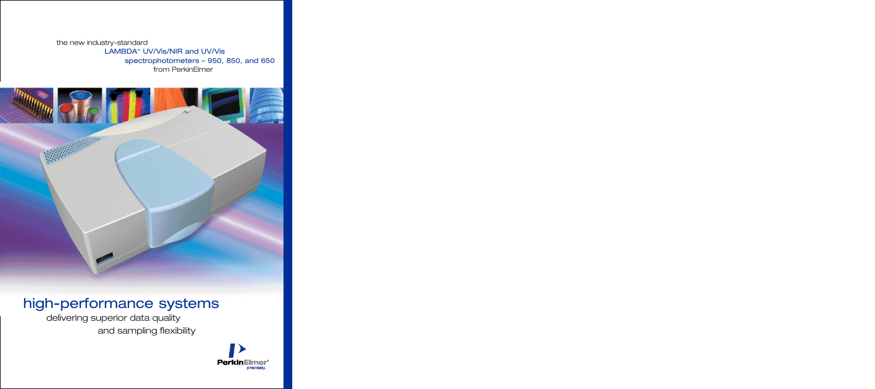# the new industry-standard

# LAMBDA™ UV/Vis/NIR and UV/Vis spectrophotometers – 950, 850, and 650 from PerkinElmer



# high-performance systems

delivering superior data quality and sampling flexibility

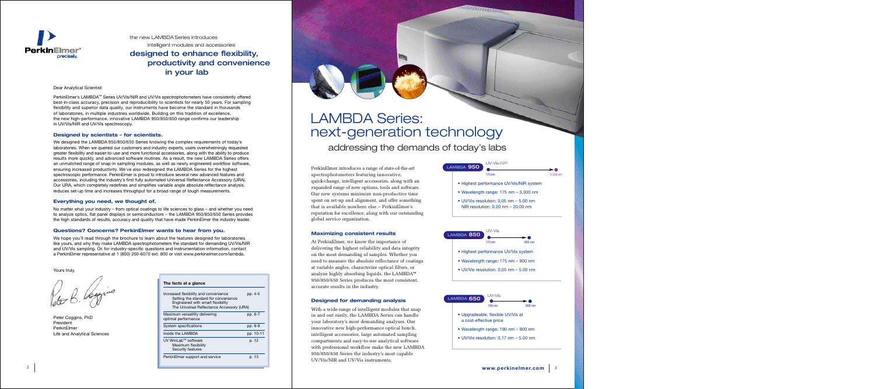Dear Analytical Scientist:

PerkinElmer's LAMBDA™ Series UV/Vis/NIR and UV/Vis spectrophotometers have consistently offered best-in-class accuracy, precision and reproducibility to scientists for nearly 50 years. For sampling flexibility and superior data quality, our instruments have become the standard in thousands of laboratories, in multiple industries worldwide. Building on this tradition of excellence, the new high-performance, innovative LAMBDA 950/850/650 range confirms our leadership in UV/Vis/NIR and UV/Vis spectroscopy.

# **Designed by scientists – for scientists.**

We designed the LAMBDA 950/850/650 Series knowing the complex requirements of today's laboratories. When we queried our customers and industry experts, users overwhelmingly requested greater flexibility and easier-to-use and more functional accessories, along with the ability to produce results more quickly, and advanced software routines. As a result, the new LAMBDA Series offers an unmatched range of snap-in sampling modules, as well as newly engineered workflow software, ensuring increased productivity. We've also redesigned the LAMBDA Series for the highest spectroscopic performance. PerkinElmer is proud to introduce several new advanced features and accessories, including the industry's first fully automated Universal Reflectance Accessory (URA). Our URA, which completely redefines and simplifies variable angle absolute reflectance analysis, reduces set-up time and increases throughput for a broad range of tough measurements.

## **Everything you need, we thought of.**

No matter what your industry – from optical coatings to life sciences to glass – and whether you need to analyze optics, flat panel displays or semiconductors – the LAMBDA 950/850/650 Series provides the high standards of results, accuracy and quality that have made PerkinElmer the industry leader.

# **Questions? Concerns? PerkinElmer wants to hear from you.**

We hope you'll read through the brochure to learn about the features designed for laboratories like yours, and why they make LAMBDA spectrophotometers the standard for demanding UV/Vis/NIR and UV/Vis sampling. Or, for industry-specific questions and instrumentation information, contact a PerkinElmer representative at 1 (800) 250-6070 ext. 800 or visit www.perkinelmer.com/lambda.

Yours truly,

Peter Coggins, PhD President PerkinElmer Life and Analytical Sciences

| The facts at a glance                                                                                                                                           |           |
|-----------------------------------------------------------------------------------------------------------------------------------------------------------------|-----------|
| Increased flexibility and convenience<br>Setting the standard for convenience<br>Engineered with smart flexibility<br>The Universal Reflectance Accessory (URA) | pp. 4-5   |
| Maximum versatility delivering<br>optimal performance                                                                                                           | pp. 6-7   |
| System specifications                                                                                                                                           | pp. 8-9   |
| Inside the LAMBDA                                                                                                                                               | pp. 10-11 |
| UV WinLab™ software<br>Maximum flexibility<br>Security features                                                                                                 | p. 12     |
| PerkinElmer support and service                                                                                                                                 | p. 13     |





the new LAMBDA Series introduces

intelligent modules and accessories designed to enhance flexibility, productivity and convenience in your lab

PerkinElmer introduces a range of state-of-the-art spectrophotometers featuring innovative, quick-change, intelligent accessories, along with an expanded range of new options, tools and software. Our new systems minimize non-productive time spent on set-up and alignment, and offer something that is available nowhere else – PerkinElmer's reputation for excellence, along with our outstanding global service organization.

# **Maximizing consistent results**

At PerkinElmer, we know the importance of delivering the highest reliability and data integrity on the most demanding of samples. Whether you need to measure the absolute reflectance of coatings at variable angles, characterize optical filters, or analyze highly absorbing liquids, the LAMBDA™ 950/850/650 Series produces the most consistent, accurate results in the industry.

## **Designed for demanding analysis**

With a wide-range of intelligent modules that snap in and out easily, the LAMBDA Series can handle your laboratory's most demanding analyses. Our innovative new high-performance optical bench, intelligent accessories, large automated sampling compartments and easy-to-use analytical software with professional workflow make the new LAMBDA 950/850/650 Series the industry's most capable UV/Vis/NIR and UV/Vis instruments.

# LAMBDA Series: next-generation technology addressing the demands of today's labs

- Highest performance UV/Vis system
- Wavelength range: 175 nm 900 nm
- UV/Vis resolution: 0.05 nm 5.00 nm



*PARTICLE LETT* 

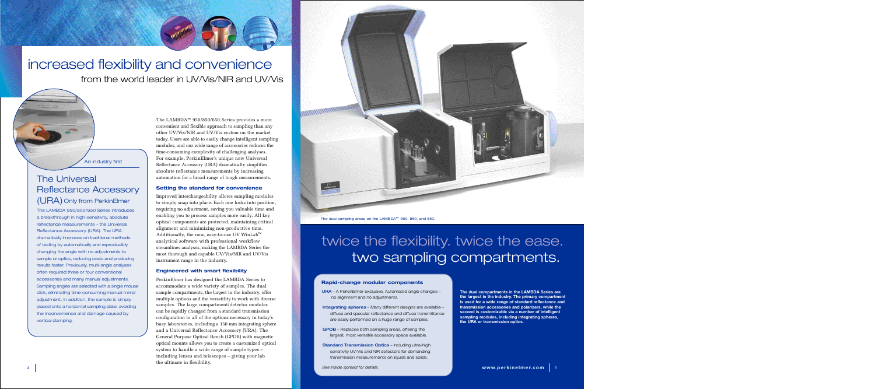An industry first

The LAMBDA™ 950/850/650 Series provides a more convenient and flexible approach to sampling than any other UV/Vis/NIR and UV/Vis system on the market today. Users are able to easily change intelligent sampling modules, and our wide range of accessories reduces the time-consuming complexity of challenging analyses. For example, PerkinElmer's unique new Universal Reflectance Accessory (URA) dramatically simplifies absolute reflectance measurements by increasing automation for a broad range of tough measurements.

# **Setting the standard for convenience**

Improved interchangeability allows sampling modules to simply snap into place. Each one locks into position, requiring no adjustment, saving you valuable time and enabling you to process samples more easily. All key optical components are protected, maintaining critical alignment and minimizing non-productive time. Additionally, the new, easy-to-use UV WinLab™ analytical software with professional workflow streamlines analyses, making the LAMBDA Series the most thorough and capable UV/Vis/NIR and UV/Vis instrument range in the industry.

# **Engineered with smart flexibility**

PerkinElmer has designed the LAMBDA Series to accommodate a wide variety of samples. The dual sample compartments, the largest in the industry, offer multiple options and the versatility to work with diverse samples. The large compartment/detector modules can be rapidly changed from a standard transmission configuration to all of the options necessary in today's busy laboratories, including a 150 mm integrating sphere and a Universal Reflectance Accessory (URA). The General Purpose Optical Bench (GPOB) with magnetic optical mounts allows you to create a customized optical system to handle a wide range of sample types – including lenses and telescopes – giving your lab the ultimate in flexibility.



# The Universal Reflectance Accessory (URA) Only from PerkinElmer

The LAMBDA 950/850/650 Series introduces a breakthrough in high-sensitivity, absolute reflectance measurements – the Universal Reflectance Accessory (URA). The URA dramatically improves on traditional methods of testing by automatically and reproducibly changing the angle with no adjustments to sample or optics, reducing costs and producing results faster. Previously, multi-angle analyses often required three or four conventional accessories and many manual adjustments. Sampling angles are selected with a single mouse click, eliminating time-consuming manual mirror adjustment. In addition, the sample is simply placed onto a horizontal sampling plate, avoiding the inconvenience and damage caused by vertical clamping.

# increased flexibility and convenience from the world leader in UV/Vis/NIR and UV/Vis

# twice the flexibility. twice the ease. two sampling compartments.

# **Rapid-change modular components**

- URA A PerkinElmer exclusive. Automated angle changes no alignment and no adjustments.
- Integrating spheres Many different designs are available diffuse and specular reflectance and diffuse transmittance are easily performed on a huge range of samples.
- GPOB Replaces both sampling areas, offering the largest, most versatile accessory space available.
- **Standard Transmission Optics Including ultra-high** sensitivity UV/Vis and NIR detectors for demanding transmission measurements on liquids and solids.

*See inside spread for details.*

**The dual compartments in the LAMBDA Series are the largest in the industry. The primary compartment is used for a wide range of standard reflectance and transmission accessories and polarizers, while the second is customizable via a number of intelligent sampling modules, including integrating spheres, the URA or transmission optics.**

The dual sampling areas on the LAMBDA™ 950, 850, and 650.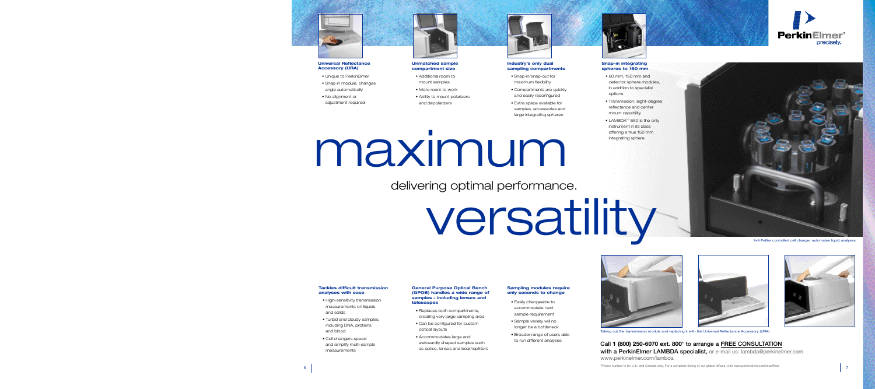## **General Purpose Optical Bench (GPOB) handles a wide range of samples – including lenses and telescopes**

- Replaces both compartments, creating very large sampling area
- Can be configured for custom optical layouts
- Accommodates large and awkwardly shaped samples such as optics, lenses and beamsplitters

## **Sampling modules require only seconds to change**

- Easily changeable to accommodate next sample requirement
- Sample variety will no longer be a bottleneck
- Broader range of users able to run different analyses





**Call 1 (800) 250-6070 ext. 800**\* **to arrange a FREE CONSULTATION with a PerkinElmer LAMBDA specialist,** or e-mail us: lambda@perkinelmer.com www.perkinelmer.com/lambda

\*Phone number is for U.S. and Canada only. For a complete listing of our global offices, visit *www.perkinelmer.com/lasoffices*



## **Universal Reflectance Accessory (URA)**

- Unique to PerkinElmer
- Snap-in module, changes angle automatically
- No alignment or adjustment required



**Unmatched sample compartment size**

- Additional room to mount samples
- More room to work
- Ability to mount polarizers and depolarizers

## **Industry's only dual sampling compartments**

- Snap-in/snap-out for maximum flexibility
- Compartments are quickly and easily reconfigured
- Extra space available for samples, accessories and large integrating spheres

## **Tackles difficult transmission analyses with ease**

- High-sensitivity transmission measurements on liquids and solids
- Turbid and cloudy samples, including DNA, proteins and blood
- Cell changers speed and simplify multi-sample measurements

## **Snap-in integrating spheres to 150 mm**

- 60 mm, 150 mm and detector sphere modules in addition to specialist options
- Transmission, eight-degree reflectance and center mount capability
- $\bullet$  LAMBDA $^{\scriptscriptstyle \textsf{TM}}$  650 is the only instrument in its class offering a true 150 mm integrating sphere

# maximum

# versatility

Taking out the transmission module and replacing it with the Universal Reflectance Accessory (URA)

delivering optimal performance.

9+9 Peltier controlled cell changer automates liquid analyses





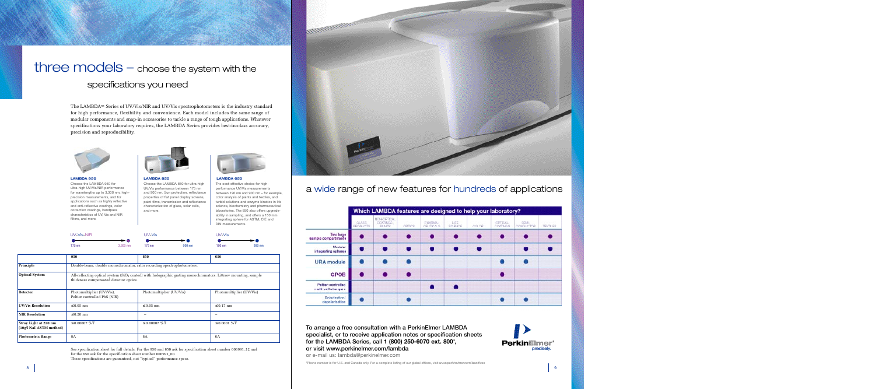# three models – choose the system with the specifications you need

# a wide range of new features for hundreds of applications

|                                           |                     | Which LAMBDA features are designed to help your laboratory? |               |                             |                               |        |                                  |                                 |                |
|-------------------------------------------|---------------------|-------------------------------------------------------------|---------------|-----------------------------|-------------------------------|--------|----------------------------------|---------------------------------|----------------|
|                                           | GLASS.<br>PRODUCTS. | NON-OPTICAL<br>COATINGS.<br><b>PAINTS</b>                   | <b>CRTICS</b> | PHARMA-<br><b>CELTICALS</b> | <b>LIFE</b><br><b>SCIENCE</b> | OOLDR. | <b>OPTICAL</b><br><b>CCATNES</b> | <b>SEM-</b><br><b>CONDUCTOR</b> | <b>TEXTLES</b> |
| <b>Two large</b><br>aample compartments   |                     |                                                             |               |                             |                               |        |                                  |                                 | г              |
| Modular<br>integrating epheres            |                     |                                                             |               |                             |                               |        |                                  |                                 |                |
| <b>URA</b> module                         |                     |                                                             |               |                             |                               |        |                                  |                                 |                |
| <b>GPOB</b>                               |                     |                                                             |               |                             |                               |        |                                  |                                 |                |
| Paltier-controlled<br>multi-cell changers |                     |                                                             |               |                             |                               |        |                                  |                                 |                |
| Polarization/<br>depolerization           |                     |                                                             |               |                             |                               |        |                                  |                                 |                |

**To arrange a free consultation with a PerkinElmer LAMBDA specialist, or to receive application notes or specification sheets for the LAMBDA Series, call 1 (800) 250-6070 ext. 800**\***, or visit www.perkinelmer.com/lambda**

Choose the LAMBDA 950 for ultra-high UV/Vis/NIR performance for wavelengths up to 3,300 nm, highprecision measurements, and for applications such as highly reflective and anti-reflective coatings, color correction coatings, bandpass characteristics of UV, Vis and NIR filters, and more. **LAMBDA 950 LAMBDA 850 LAMBDA 650**

or e-mail us: lambda@perkinelmer.com

\*Phone number is for U.S. and Canada only. For a complete listing of our global offices, visit *www.perkinelmer.com/lasoffices*

The LAMBDA™ Series of UV/Vis/NIR and UV/Vis spectrophotometers is the industry standard for high performance, flexibility and convenience. Each model includes the same range of modular components and snap-in accessories to tackle a range of tough applications. Whatever specifications your laboratory requires, the LAMBDA Series provides best-in-class accuracy, precision and reproducibility.





Choose the LAMBDA 850 for ultra-high UV/Vis performance between 175 nm

and 900 nm. Sun protection, reflectance properties of flat panel display screens, paint films, transmission and reflectance characterization of glass, solar cells, and more.



The cost-effective choice for highperformance UV/Vis measurements between 190 nm and 900 nm – for example, color analysis of paints and textiles, and turbid solutions and enzyme kinetics in life science, biochemistry and pharmaceutical laboratories. The 650 also offers upgradeability in sampling, and offers a 150 mm integrating sphere for ASTM, CIE and DIN measurements.

|                                                  | <b>UV-Vis-NIR</b>                                                      |                                                                                                                                                            | UV-Vis                   |        | UV-Vis           |                          |  |  |
|--------------------------------------------------|------------------------------------------------------------------------|------------------------------------------------------------------------------------------------------------------------------------------------------------|--------------------------|--------|------------------|--------------------------|--|--|
|                                                  | $175 \text{ nm}$                                                       | > 0<br>3,300 nm                                                                                                                                            | $175 \text{ nm}$         | 900 nm | 190 nm           | —<br>900 nm              |  |  |
|                                                  | 950                                                                    |                                                                                                                                                            | 850                      |        | 650              |                          |  |  |
| Principle                                        | Double-beam, double monochromator, ratio recording spectrophotometers. |                                                                                                                                                            |                          |        |                  |                          |  |  |
| <b>Optical System</b>                            |                                                                        | All-reflecting optical system ( $SiO2$ coated) with holographic grating monochromators. Littrow mounting, sample<br>thickness compensated detector optics. |                          |        |                  |                          |  |  |
| <b>Detector</b>                                  | Photomultiplier (UV/Vis),<br>Peltier controlled PbS (NIR)              |                                                                                                                                                            | Photomultiplier (UV/Vis) |        |                  | Photomultiplier (UV/Vis) |  |  |
| <b>UV/Vis Resolution</b>                         | $\leq 0.05$ nm                                                         |                                                                                                                                                            | $\leq 0.05$ nm           |        | $\leq 0.17$ nm   |                          |  |  |
| <b>NIR Resolution</b>                            | $\leq 0.20$ nm                                                         |                                                                                                                                                            |                          |        |                  |                          |  |  |
| Stray Light at 220 nm<br>(10g/l NaI ASTM method) | $\leq 0.00007$ %T                                                      |                                                                                                                                                            | $\leq 0.00007$ %T        |        | $\leq 0.0001$ %T |                          |  |  |
| <b>Photometric Range</b>                         | <b>8A</b>                                                              |                                                                                                                                                            | <b>8A</b>                |        | 6A               |                          |  |  |

See specification sheet for full details. For the 950 and 850 ask for specification sheet number 006991\_12 and for the 650 ask for the specification sheet number 006991\_00. These specifications are guaranteed, not "typical" performance specs.



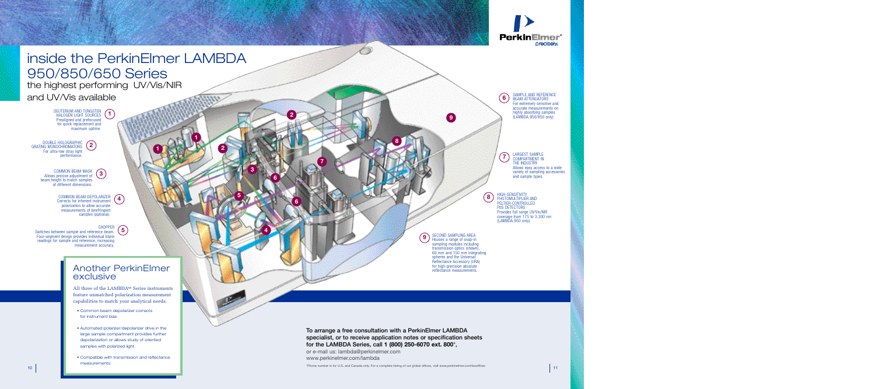





SECOND SAMPLING AREA Houses a range of snap-in sampling modules including transmission optics (shown), 60 mm and 150 mm integrating spheres and the Universal Reflectance Accessory (URA) for high-precision absolute reflectance measurements.

HIGH-SENSITIVITY PHOTOMULTIPLIER AND PELTIER-CONTROLLED PbS DETECTORS Provides full range UV/Vis/NIR coverage from 175 to 3,300 nm (LAMBDA 950 only). SAMPLE AND REFERENCE BEAM ATTENUATORS For extremely sensitive and accurate measurements on highly absorbing samples (LAMBDA 950/850 only). LARGEST SAMPLE COMPARTMENT IN THE INDUSTRY Allows easy access to a wide variety of sampling accessories and sample types. **9 6 7 8**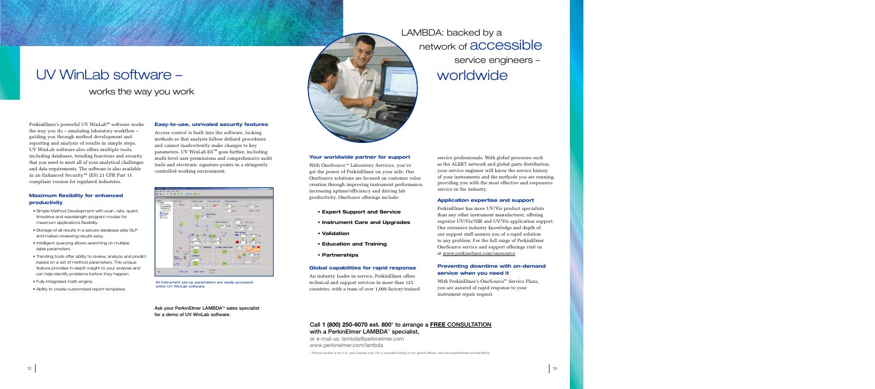# UV WinLab software – works the way you work

# **Easy-to-use, unrivaled security features**

**Ask your PerkinElmer LAMBDA™ sales specialist for a demo of UV WinLab software.**



Access control is built into the software, locking methods so that analysts follow defined procedures and cannot inadvertently make changes to key parameters. UV WinLab ES™ goes further, including multi-level user permissions and comprehensive audit trails and electronic signature points in a stringently controlled working environment.

With OneSource<sup>sm</sup> Laboratory Services, you've got the power of PerkinElmer on your side. Our OneSource solutions are focused on customer value creation through improving instrument performance, increasing uptime/efficiency and driving lab productivity. OneSouce offerings include:

# **Your worldwide partner for support**

- **Expert Support and Service**
- **Instrument Care and Upgrades**
- **Validation**
- **Education and Training**
- **Partnerships**

# **Global capabilities for rapid response**

With PerkinElmer's OneSource<sup>sm</sup> Service Plans, you are assured of rapid response to your instrument repair request.

# **Call 1 (800) 250-6070 ext. 800**\* **to arrange a FREE CONSULTATION with a PerkinElmer LAMBDA<sup>™</sup> specialist,**

An industry leader in service, PerkinElmer offers technical and support services in more than 125 countries, with a team of over 1,000 factory-trained service professionals. With global processes such as the ALERT network and global parts distribution, your service engineer will know the service history of your instruments and the methods you are running, providing you with the most effective and responsive service in the industry.

## **Application expertise and support**

PerkinElmer has more UV/Vis product specialists than any other instrument manufacturer, offering superior UV/Vis/NIR and UV/Vis application support. Our extensive industry knowledge and depth of our support staff assures you of a rapid solution to any problem. For the full range of PerkinElmer OneSource service and support offerings visit us at www.perkinelmer.com/onesource

# **Preventing downtime with on-demand service when you need it**

or e-mail us: lambda@perkinelmer.com www.perkinelmer.com/lambda

\* Phone number is for U.S. and Canada only. For a complete listing of our global offices, visit *www.perkinelmer.com/lasoffices*

# LAMBDA: backed by a network of **accessible** service engineers – worldwide

PerkinElmer's powerful UV WinLab™ software works the way you do – emulating laboratory workflow – guiding you through method development and reporting and analysis of results in simple steps. UV WinLab software also offers multiple tools, including databases, trending functions and security that you need to meet all of your analytical challenges and data requirements. The software is also available in an Enhanced Security™ (ES) 21 CFR Part 11 compliant version for regulated industries.

# **Maximum flexibility for enhanced productivity**

- Simple Method Development with scan, rate, quant, timedrive and wavelength program modes for maximum applications flexibility.
- Storage of all results in a secure database aids GLP and makes reviewing results easy.
- Intelligent querying allows searching on multiple table parameters.
- Trending tools offer ability to review, analyze and predict based on a set of method parameters. This unique feature provides in-depth insight to your analysis and can help identify problems before they happen.
- Fully integrated math engine.
- Ability to create customized report templates.



All instrument set-up parameters are easily accessed within UV WinLab software.